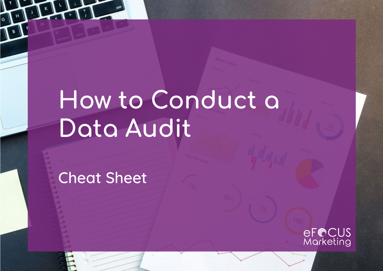# **How to Conduct a Data Audit**

Cheat Sheet

eF@CUS<br>Marketing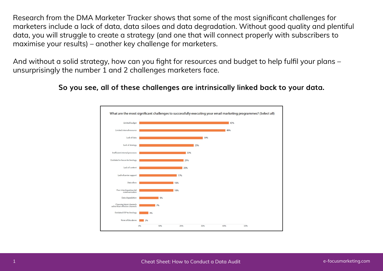Research from the DMA Marketer Tracker shows that some of the most significant challenges for marketers include a lack of data, data siloes and data degradation. Without good quality and plentiful data, you will struggle to create a strategy (and one that will connect properly with subscribers to maximise your results) – another key challenge for marketers.

And without a solid strategy, how can you fight for resources and budget to help fulfil your plans – unsurprisingly the number 1 and 2 challenges marketers face.



#### **So you see, all of these challenges are intrinsically linked back to your data.**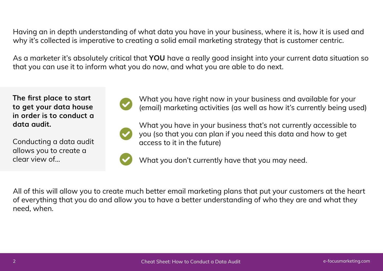Having an in depth understanding of what data you have in your business, where it is, how it is used and why it's collected is imperative to creating a solid email marketing strategy that is customer centric.

As a marketer it's absolutely critical that **YOU** have a really good insight into your current data situation so that you can use it to inform what you do now, and what you are able to do next.

**The first place to start to get your data house in order is to conduct a data audit.**

Conducting a data audit allows you to create a clear view of…



What you have right now in your business and available for your (email) marketing activities (as well as how it's currently being used)



What you have in your business that's not currently accessible to you (so that you can plan if you need this data and how to get access to it in the future)

What you don't currently have that you may need.

All of this will allow you to create much better email marketing plans that put your customers at the heart of everything that you do and allow you to have a better understanding of who they are and what they need, when.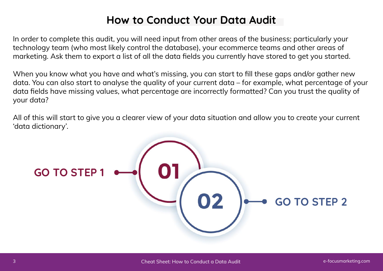## **How to Conduct Your Data Audit**

In order to complete this audit, you will need input from other areas of the business; particularly your technology team (who most likely control the database), your ecommerce teams and other areas of marketing. Ask them to export a list of all the data fields you currently have stored to get you started.

When you know what you have and what's missing, you can start to fill these gaps and/or gather new data. You can also start to analyse the quality of your current data – for example, what percentage of your data fields have missing values, what percentage are incorrectly formatted? Can you trust the quality of your data?

All of this will start to give you a clearer view of your data situation and allow you to create your current 'data dictionary'.

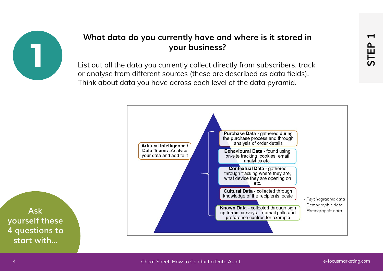

### **What data do you currently have and where is it stored in your business?**

List out all the data you currently collect directly from subscribers, track or analyse from different sources (these are described as data fields). Think about data you have across each level of the data pyramid.

<span id="page-4-0"></span>

**Ask yourself these 4 questions to start with...**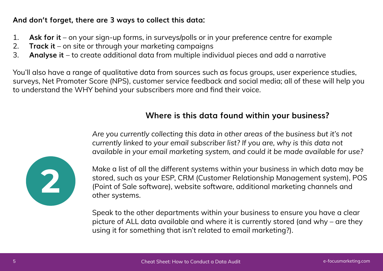### **And don't forget, there are 3 ways to collect this data:**

- 1. **Ask for it** on your sign-up forms, in surveys/polls or in your preference centre for example
- 2. **Track it** on site or through your marketing campaigns
- 3. **Analyse it**  to create additional data from multiple individual pieces and add a narrative

You'll also have a range of qualitative data from sources such as focus groups, user experience studies, surveys, Net Promoter Score (NPS), customer service feedback and social media; all of these will help you to understand the WHY behind your subscribers more and find their voice.

### **Where is this data found within your business?**

*Are you currently collecting this data in other areas of the business but it's not currently linked to your email subscriber list? If you are, why is this data not available in your email marketing system, and could it be made available for use?*

Make a list of all the different systems within your business in which data may be stored, such as your ESP, CRM (Customer Relationship Management system), POS (Point of Sale software), website software, additional marketing channels and other systems.

Speak to the other departments within your business to ensure you have a clear picture of ALL data available and where it is currently stored (and why – are they using it for something that isn't related to email marketing?).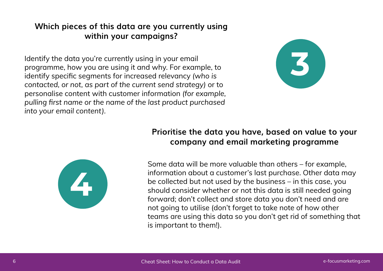### **Which pieces of this data are you currently using within your campaigns?**

Identify the data you're currently using in your email programme, how you are using it and why. For example, to identify specific segments for increased relevancy *(who is contacted, or not, as part of the current send strategy)* or to personalise content with customer information *(for example, pulling first name or the name of the last product purchased into your email content).*





### **Prioritise the data you have, based on value to your company and email marketing programme**

Some data will be more valuable than others – for example, information about a customer's last purchase. Other data may be collected but not used by the business – in this case, you should consider whether or not this data is still needed going forward; don't collect and store data you don't need and are not going to utilise (don't forget to take note of how other teams are using this data so you don't get rid of something that is important to them!).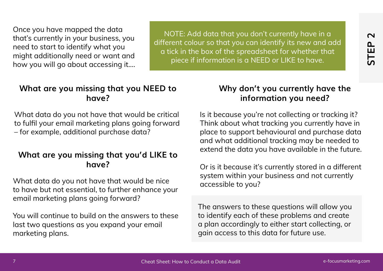Once you have mapped the data that's currently in your business, you need to start to identify what you might additionally need or want and how you will go about accessing it….

NOTE: Add data that you don't currently have in a different colour so that you can identify its new and add a tick in the box of the spreadsheet for whether that piece if information is a NEED or LIKE to have.

# **Why don't you currently have the**

<span id="page-7-0"></span>**information you need?**

### **What are you missing that you NEED to have?**

What data do you not have that would be critical to fulfil your email marketing plans going forward – for example, additional purchase data?

### **What are you missing that you'd LIKE to have?**

What data do you not have that would be nice to have but not essential, to further enhance your email marketing plans going forward?

You will continue to build on the answers to these last two questions as you expand your email marketing plans.

# From the most provident of the speed and the state of the speed and the sheet of the speed and the sheet of the speed and the sheet of the speed and the sheet of the speed and the sheet of the speed and the sheet of the sp Is it because you're not collecting or tracking it? Think about what tracking you currently have in place to support behavioural and purchase data and what additional tracking may be needed to extend the data you have available in the future.

Or is it because it's currently stored in a different system within your business and not currently accessible to you?

The answers to these questions will allow you to identify each of these problems and create a plan accordingly to either start collecting, or gain access to this data for future use.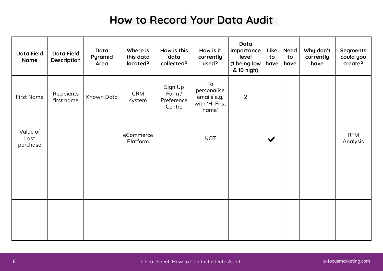## **How to Record Your Data Audit**

| <b>Data Field</b><br>Name    | <b>Data Field</b><br>Description | Data<br>Pyramid<br>Area | Where is<br>this data<br>located? | How is this<br>data<br>collected?         | How is it<br>currently<br>used?                             | Data<br>importance<br>level<br>(1 being low<br>& 10 high) | Like<br>to<br>have   | <b>Need</b><br>to<br>have | Why don't<br>currently<br>have | <b>Segments</b><br>could you<br>create? |
|------------------------------|----------------------------------|-------------------------|-----------------------------------|-------------------------------------------|-------------------------------------------------------------|-----------------------------------------------------------|----------------------|---------------------------|--------------------------------|-----------------------------------------|
| <b>First Name</b>            | Recipients<br>first name         | Known Data              | <b>CRM</b><br>system              | Sign Up<br>Form /<br>Preference<br>Centre | To<br>personalise<br>emails e.g.<br>with 'Hi First<br>name' | $\overline{2}$                                            |                      |                           |                                |                                         |
| Value of<br>Last<br>purchase |                                  |                         | eCommerce<br>Platform             |                                           | <b>NOT</b>                                                  |                                                           | $\blacktriangledown$ |                           |                                | <b>RFM</b><br>Analysis                  |
|                              |                                  |                         |                                   |                                           |                                                             |                                                           |                      |                           |                                |                                         |
|                              |                                  |                         |                                   |                                           |                                                             |                                                           |                      |                           |                                |                                         |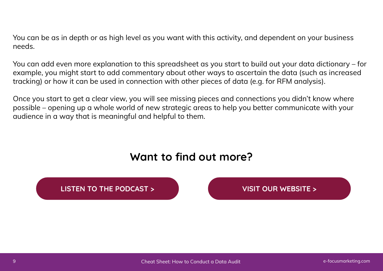You can be as in depth or as high level as you want with this activity, and dependent on your business needs.

You can add even more explanation to this spreadsheet as you start to build out your data dictionary – for example, you might start to add commentary about other ways to ascertain the data (such as increased tracking) or how it can be used in connection with other pieces of data (e.g. for RFM analysis).

Once you start to get a clear view, you will see missing pieces and connections you didn't know where possible – opening up a whole world of new strategic areas to help you better communicate with your audience in a way that is meaningful and helpful to them.

## **Want to find out more?**

#### **[LISTEN TO THE PODCAST >](http://e-focusmarketing.com/podcast/episode16)**